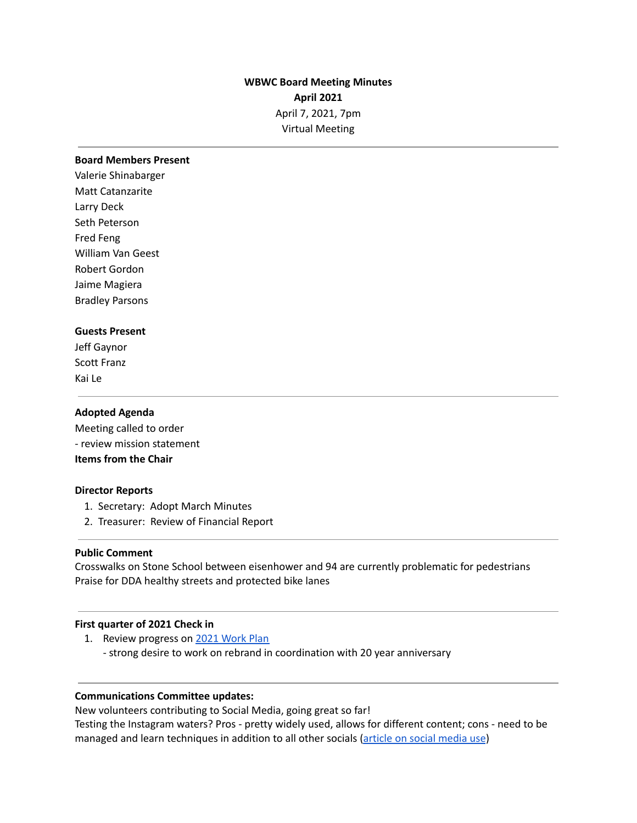# **WBWC Board Meeting Minutes April 2021** April 7, 2021, 7pm Virtual Meeting

#### **Board Members Present**

Valerie Shinabarger Matt Catanzarite Larry Deck Seth Peterson Fred Feng William Van Geest Robert Gordon Jaime Magiera Bradley Parsons

## **Guests Present**

Jeff Gaynor Scott Franz Kai Le

#### **Adopted Agenda**

Meeting called to order - review mission statement **Items from the Chair**

## **Director Reports**

- 1. Secretary: Adopt March Minutes
- 2. Treasurer: Review of Financial Report

## **Public Comment**

Crosswalks on Stone School between eisenhower and 94 are currently problematic for pedestrians Praise for DDA healthy streets and protected bike lanes

## **First quarter of 2021 Check in**

1. Review progress on 2021 [Work](https://docs.google.com/document/d/1-LpsV9eshFSVgs1q4Nlrz2CBYVYjNvalwJQ1MV4DoCU/edit?usp=sharing) Plan - strong desire to work on rebrand in coordination with 20 year anniversary

## **Communications Committee updates:**

New volunteers contributing to Social Media, going great so far!

Testing the Instagram waters? Pros - pretty widely used, allows for different content; cons - need to be managed and learn techniques in addition to all other socials [\(article](https://www.pewresearch.org/internet/2021/04/07/social-media-use-in-2021/?utm_content=bufferff644&utm_medium=social&utm_source=twitter.com&utm_campaign=buffer) on social media use)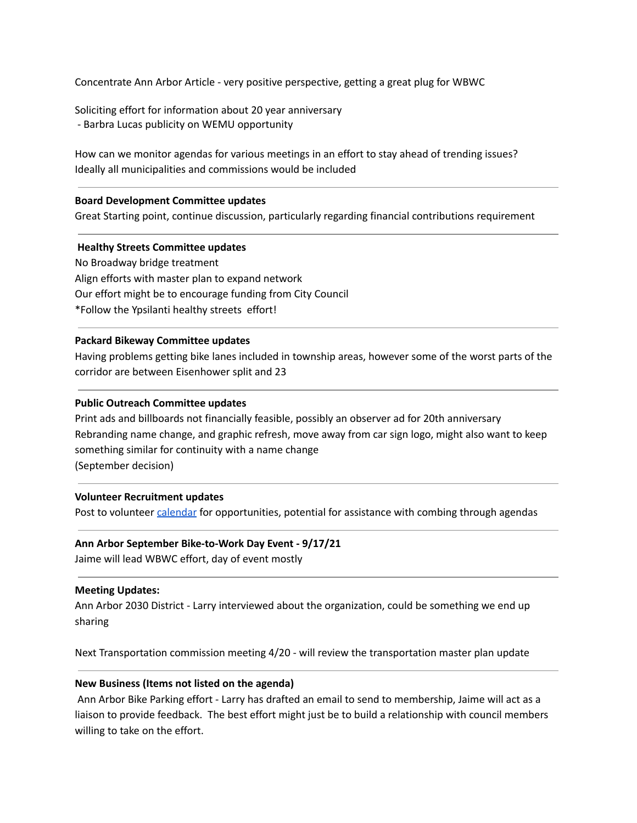Concentrate Ann Arbor Article - very positive perspective, getting a great plug for WBWC

Soliciting effort for information about 20 year anniversary - Barbra Lucas publicity on WEMU opportunity

How can we monitor agendas for various meetings in an effort to stay ahead of trending issues? Ideally all municipalities and commissions would be included

#### **Board Development Committee updates**

Great Starting point, continue discussion, particularly regarding financial contributions requirement

#### **Healthy Streets Committee updates**

No Broadway bridge treatment Align efforts with master plan to expand network Our effort might be to encourage funding from City Council \*Follow the Ypsilanti healthy streets effort!

#### **Packard Bikeway Committee updates**

Having problems getting bike lanes included in township areas, however some of the worst parts of the corridor are between Eisenhower split and 23

#### **Public Outreach Committee updates**

Print ads and billboards not financially feasible, possibly an observer ad for 20th anniversary Rebranding name change, and graphic refresh, move away from car sign logo, might also want to keep something similar for continuity with a name change (September decision)

#### **Volunteer Recruitment updates**

Post to volunteer [calendar](https://docs.google.com/spreadsheets/d/1oewywvixyzwEB1x-nCvWY9fBF2bKAPZFXRpZTOSI_l4/edit#gid=0) for opportunities, potential for assistance with combing through agendas

#### **Ann Arbor September Bike-to-Work Day Event - 9/17/21**

Jaime will lead WBWC effort, day of event mostly

#### **Meeting Updates:**

Ann Arbor 2030 District - Larry interviewed about the organization, could be something we end up sharing

Next Transportation commission meeting 4/20 - will review the transportation master plan update

## **New Business (Items not listed on the agenda)**

Ann Arbor Bike Parking effort - Larry has drafted an email to send to membership, Jaime will act as a liaison to provide feedback. The best effort might just be to build a relationship with council members willing to take on the effort.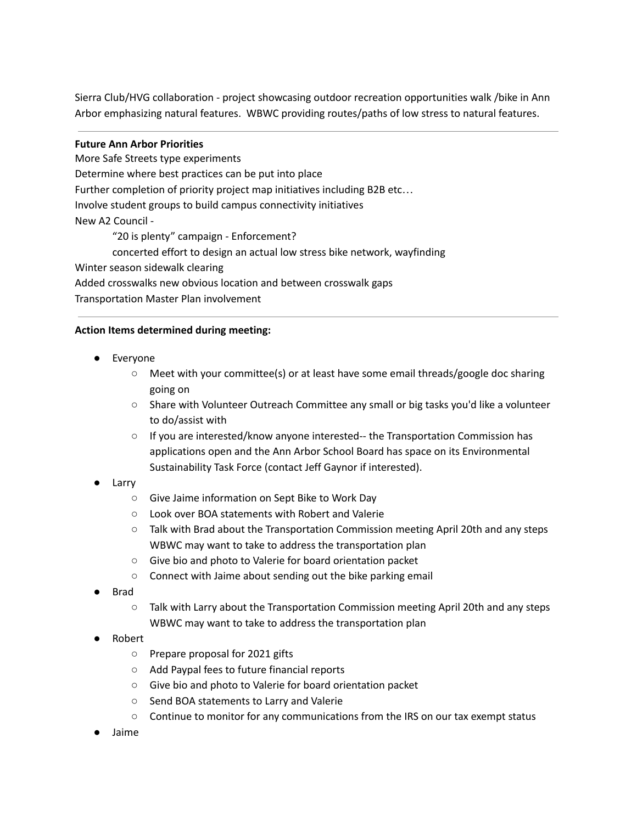Sierra Club/HVG collaboration - project showcasing outdoor recreation opportunities walk /bike in Ann Arbor emphasizing natural features. WBWC providing routes/paths of low stress to natural features.

## **Future Ann Arbor Priorities**

More Safe Streets type experiments Determine where best practices can be put into place Further completion of priority project map initiatives including B2B etc… Involve student groups to build campus connectivity initiatives New A2 Council - "20 is plenty" campaign - Enforcement? concerted effort to design an actual low stress bike network, wayfinding Winter season sidewalk clearing Added crosswalks new obvious location and between crosswalk gaps Transportation Master Plan involvement

## **Action Items determined during meeting:**

- **Everyone** 
	- Meet with your committee(s) or at least have some email threads/google doc sharing going on
	- Share with Volunteer Outreach Committee any small or big tasks you'd like a volunteer to do/assist with
	- If you are interested/know anyone interested-- the Transportation Commission has applications open and the Ann Arbor School Board has space on its Environmental Sustainability Task Force (contact Jeff Gaynor if interested).
- Larry
	- Give Jaime information on Sept Bike to Work Day
	- Look over BOA statements with Robert and Valerie
	- Talk with Brad about the Transportation Commission meeting April 20th and any steps WBWC may want to take to address the transportation plan
	- Give bio and photo to Valerie for board orientation packet
	- Connect with Jaime about sending out the bike parking email
- **Brad** 
	- Talk with Larry about the Transportation Commission meeting April 20th and any steps WBWC may want to take to address the transportation plan
- Robert
	- Prepare proposal for 2021 gifts
	- Add Paypal fees to future financial reports
	- Give bio and photo to Valerie for board orientation packet
	- Send BOA statements to Larry and Valerie
	- Continue to monitor for any communications from the IRS on our tax exempt status
- **Jaime**